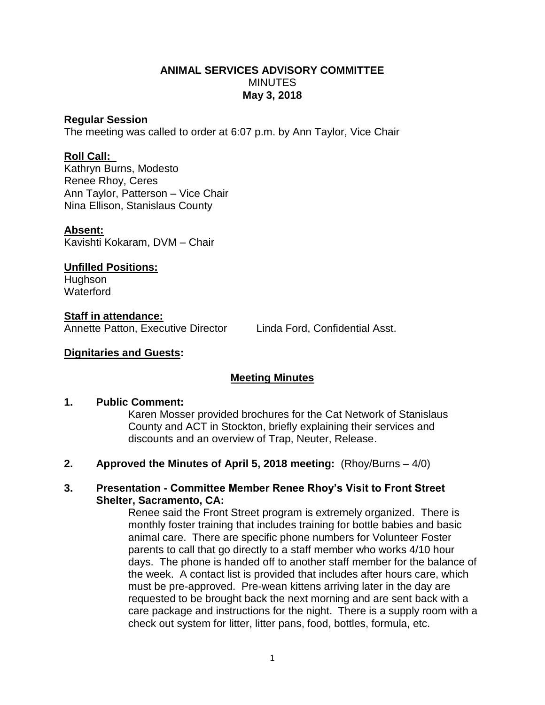## **ANIMAL SERVICES ADVISORY COMMITTEE MINUTES May 3, 2018**

## **Regular Session**

The meeting was called to order at 6:07 p.m. by Ann Taylor, Vice Chair

## **Roll Call:**

Kathryn Burns, Modesto Renee Rhoy, Ceres Ann Taylor, Patterson – Vice Chair Nina Ellison, Stanislaus County

## **Absent:**

Kavishti Kokaram, DVM – Chair

**Unfilled Positions:** Hughson **Waterford** 

#### **Staff in attendance:** Annette Patton, Executive Director Linda Ford, Confidential Asst.

## **Dignitaries and Guests:**

# **Meeting Minutes**

### **1. Public Comment:**

Karen Mosser provided brochures for the Cat Network of Stanislaus County and ACT in Stockton, briefly explaining their services and discounts and an overview of Trap, Neuter, Release.

**2. Approved the Minutes of April 5, 2018 meeting:** (Rhoy/Burns – 4/0)

## **3. Presentation - Committee Member Renee Rhoy's Visit to Front Street Shelter, Sacramento, CA:**

Renee said the Front Street program is extremely organized. There is monthly foster training that includes training for bottle babies and basic animal care. There are specific phone numbers for Volunteer Foster parents to call that go directly to a staff member who works 4/10 hour days. The phone is handed off to another staff member for the balance of the week. A contact list is provided that includes after hours care, which must be pre-approved. Pre-wean kittens arriving later in the day are requested to be brought back the next morning and are sent back with a care package and instructions for the night. There is a supply room with a check out system for litter, litter pans, food, bottles, formula, etc.